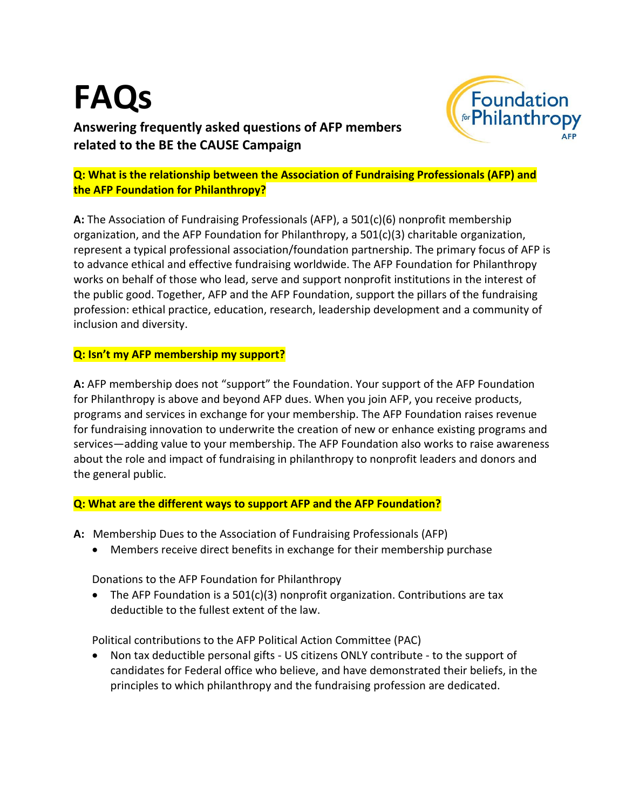## **FAQs Answering frequently asked questions of AFP members related to the BE the CAUSE Campaign**



**Q: What is the relationship between the Association of Fundraising Professionals (AFP) and the AFP Foundation for Philanthropy?**

**A:** The Association of Fundraising Professionals (AFP), a 501(c)(6) nonprofit membership organization, and the AFP Foundation for Philanthropy, a 501(c)(3) charitable organization, represent a typical professional association/foundation partnership. The primary focus of AFP is to advance ethical and effective fundraising worldwide. The AFP Foundation for Philanthropy works on behalf of those who lead, serve and support nonprofit institutions in the interest of the public good. Together, AFP and the AFP Foundation, support the pillars of the fundraising profession: ethical practice, education, research, leadership development and a community of inclusion and diversity.

## **Q: Isn't my AFP membership my support?**

**A:** AFP membership does not "support" the Foundation. Your support of the AFP Foundation for Philanthropy is above and beyond AFP dues. When you join AFP, you receive products, programs and services in exchange for your membership. The AFP Foundation raises revenue for fundraising innovation to underwrite the creation of new or enhance existing programs and services—adding value to your membership. The AFP Foundation also works to raise awareness about the role and impact of fundraising in philanthropy to nonprofit leaders and donors and the general public.

## **Q: What are the different ways to support AFP and the AFP Foundation?**

- **A:** Membership Dues to the Association of Fundraising Professionals (AFP)
	- Members receive direct benefits in exchange for their membership purchase

Donations to the AFP Foundation for Philanthropy

• The AFP Foundation is a 501(c)(3) nonprofit organization. Contributions are tax deductible to the fullest extent of the law.

Political contributions to the AFP Political Action Committee (PAC)

• Non tax deductible personal gifts - US citizens ONLY contribute - to the support of candidates for Federal office who believe, and have demonstrated their beliefs, in the principles to which philanthropy and the fundraising profession are dedicated.